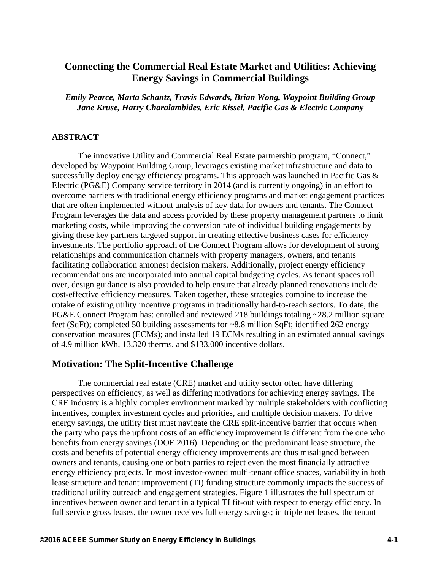# **Connecting the Commercial Real Estate Market and Utilities: Achieving Energy Savings in Commercial Buildings**

*Emily Pearce, Marta Schantz, Travis Edwards, Brian Wong, Waypoint Building Group Jane Kruse, Harry Charalambides, Eric Kissel, Pacific Gas & Electric Company* 

#### **ABSTRACT**

The innovative Utility and Commercial Real Estate partnership program, "Connect," developed by Waypoint Building Group, leverages existing market infrastructure and data to successfully deploy energy efficiency programs. This approach was launched in Pacific Gas & Electric (PG&E) Company service territory in 2014 (and is currently ongoing) in an effort to overcome barriers with traditional energy efficiency programs and market engagement practices that are often implemented without analysis of key data for owners and tenants. The Connect Program leverages the data and access provided by these property management partners to limit marketing costs, while improving the conversion rate of individual building engagements by giving these key partners targeted support in creating effective business cases for efficiency investments. The portfolio approach of the Connect Program allows for development of strong relationships and communication channels with property managers, owners, and tenants facilitating collaboration amongst decision makers. Additionally, project energy efficiency recommendations are incorporated into annual capital budgeting cycles. As tenant spaces roll over, design guidance is also provided to help ensure that already planned renovations include cost-effective efficiency measures. Taken together, these strategies combine to increase the uptake of existing utility incentive programs in traditionally hard-to-reach sectors. To date, the PG&E Connect Program has: enrolled and reviewed 218 buildings totaling ~28.2 million square feet (SqFt); completed 50 building assessments for ~8.8 million SqFt; identified 262 energy conservation measures (ECMs); and installed 19 ECMs resulting in an estimated annual savings of 4.9 million kWh, 13,320 therms, and \$133,000 incentive dollars.

### **Motivation: The Split-Incentive Challenge**

The commercial real estate (CRE) market and utility sector often have differing perspectives on efficiency, as well as differing motivations for achieving energy savings. The CRE industry is a highly complex environment marked by multiple stakeholders with conflicting incentives, complex investment cycles and priorities, and multiple decision makers. To drive energy savings, the utility first must navigate the CRE split-incentive barrier that occurs when the party who pays the upfront costs of an efficiency improvement is different from the one who benefits from energy savings (DOE 2016). Depending on the predominant lease structure, the costs and benefits of potential energy efficiency improvements are thus misaligned between owners and tenants, causing one or both parties to reject even the most financially attractive energy efficiency projects. In most investor-owned multi-tenant office spaces, variability in both lease structure and tenant improvement (TI) funding structure commonly impacts the success of traditional utility outreach and engagement strategies. Figure 1 illustrates the full spectrum of incentives between owner and tenant in a typical TI fit-out with respect to energy efficiency. In full service gross leases, the owner receives full energy savings; in triple net leases, the tenant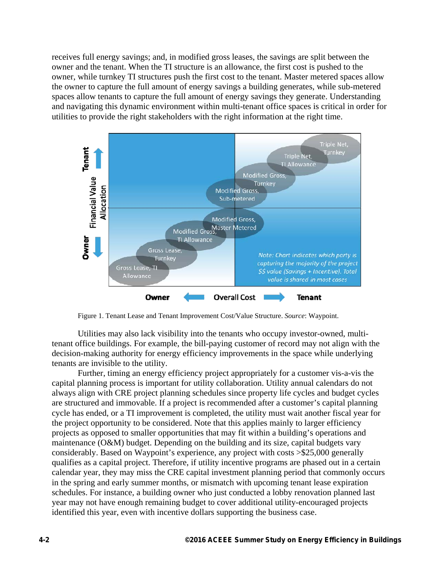receives full energy savings; and, in modified gross leases, the savings are split between the owner and the tenant. When the TI structure is an allowance, the first cost is pushed to the owner, while turnkey TI structures push the first cost to the tenant. Master metered spaces allow the owner to capture the full amount of energy savings a building generates, while sub-metered spaces allow tenants to capture the full amount of energy savings they generate. Understanding and navigating this dynamic environment within multi-tenant office spaces is critical in order for utilities to provide the right stakeholders with the right information at the right time.



Figure 1. Tenant Lease and Tenant Improvement Cost/Value Structure. *Source*: Waypoint.

Utilities may also lack visibility into the tenants who occupy investor-owned, multitenant office buildings. For example, the bill-paying customer of record may not align with the decision-making authority for energy efficiency improvements in the space while underlying tenants are invisible to the utility.

Further, timing an energy efficiency project appropriately for a customer vis-a-vis the capital planning process is important for utility collaboration. Utility annual calendars do not always align with CRE project planning schedules since property life cycles and budget cycles are structured and immovable. If a project is recommended after a customer's capital planning cycle has ended, or a TI improvement is completed, the utility must wait another fiscal year for the project opportunity to be considered. Note that this applies mainly to larger efficiency projects as opposed to smaller opportunities that may fit within a building's operations and maintenance (O&M) budget. Depending on the building and its size, capital budgets vary considerably. Based on Waypoint's experience, any project with costs >\$25,000 generally qualifies as a capital project. Therefore, if utility incentive programs are phased out in a certain calendar year, they may miss the CRE capital investment planning period that commonly occurs in the spring and early summer months, or mismatch with upcoming tenant lease expiration schedules. For instance, a building owner who just conducted a lobby renovation planned last year may not have enough remaining budget to cover additional utility-encouraged projects identified this year, even with incentive dollars supporting the business case.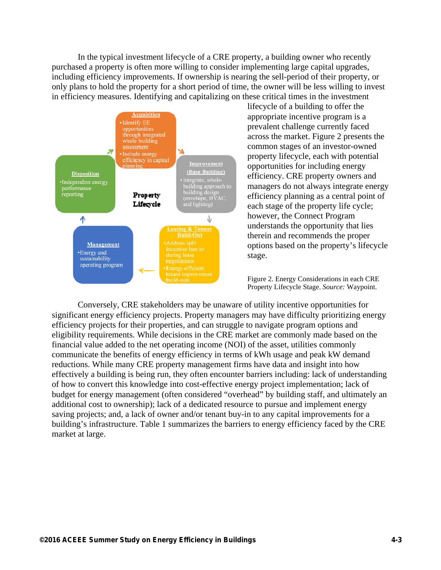In the typical investment lifecycle of a CRE property, a building owner who recently purchased a property is often more willing to consider implementing large capital upgrades, including efficiency improvements. If ownership is nearing the sell-period of their property, or only plans to hold the property for a short period of time, the owner will be less willing to invest in efficiency measures. Identifying and capitalizing on these critical times in the investment



lifecycle of a building to offer the appropriate incentive program is a prevalent challenge currently faced across the market. Figure 2 presents the common stages of an investor-owned property lifecycle, each with potential opportunities for including energy efficiency. CRE property owners and managers do not always integrate energy efficiency planning as a central point of each stage of the property life cycle; however, the Connect Program understands the opportunity that lies therein and recommends the proper options based on the property's lifecycle stage.

Figure 2. Energy Considerations in each CRE Property Lifecycle Stage. *Source:* Waypoint.

Conversely, CRE stakeholders may be unaware of utility incentive opportunities for significant energy efficiency projects. Property managers may have difficulty prioritizing energy efficiency projects for their properties, and can struggle to navigate program options and eligibility requirements. While decisions in the CRE market are commonly made based on the financial value added to the net operating income (NOI) of the asset, utilities commonly communicate the benefits of energy efficiency in terms of kWh usage and peak kW demand reductions. While many CRE property management firms have data and insight into how effectively a building is being run, they often encounter barriers including: lack of understanding of how to convert this knowledge into cost-effective energy project implementation; lack of budget for energy management (often considered "overhead" by building staff, and ultimately an additional cost to ownership); lack of a dedicated resource to pursue and implement energy saving projects; and, a lack of owner and/or tenant buy-in to any capital improvements for a building's infrastructure. Table 1 summarizes the barriers to energy efficiency faced by the CRE market at large.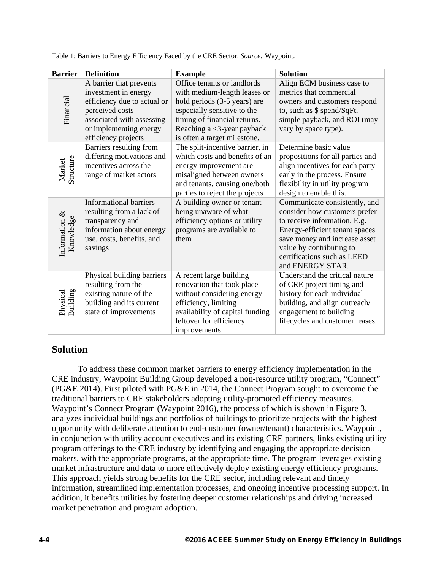| <b>Barrier</b>                | <b>Definition</b>                                                                                                                                                               | <b>Example</b>                                                                                                                                                                                                              | <b>Solution</b>                                                                                                                                                                                                                                  |
|-------------------------------|---------------------------------------------------------------------------------------------------------------------------------------------------------------------------------|-----------------------------------------------------------------------------------------------------------------------------------------------------------------------------------------------------------------------------|--------------------------------------------------------------------------------------------------------------------------------------------------------------------------------------------------------------------------------------------------|
| Financial                     | A barrier that prevents<br>investment in energy<br>efficiency due to actual or<br>perceived costs<br>associated with assessing<br>or implementing energy<br>efficiency projects | Office tenants or landlords<br>with medium-length leases or<br>hold periods (3-5 years) are<br>especially sensitive to the<br>timing of financial returns.<br>Reaching a $<$ 3-year payback<br>is often a target milestone. | Align ECM business case to<br>metrics that commercial<br>owners and customers respond<br>to, such as \$ spend/SqFt,<br>simple payback, and ROI (may<br>vary by space type).                                                                      |
| Structure<br>Market           | Barriers resulting from<br>differing motivations and<br>incentives across the<br>range of market actors                                                                         | The split-incentive barrier, in<br>which costs and benefits of an<br>energy improvement are<br>misaligned between owners<br>and tenants, causing one/both<br>parties to reject the projects                                 | Determine basic value<br>propositions for all parties and<br>align incentives for each party<br>early in the process. Ensure<br>flexibility in utility program<br>design to enable this.                                                         |
| Information $\&$<br>Knowledge | <b>Informational barriers</b><br>resulting from a lack of<br>transparency and<br>information about energy<br>use, costs, benefits, and<br>savings                               | A building owner or tenant<br>being unaware of what<br>efficiency options or utility<br>programs are available to<br>them                                                                                                   | Communicate consistently, and<br>consider how customers prefer<br>to receive information. E.g.<br>Energy-efficient tenant spaces<br>save money and increase asset<br>value by contributing to<br>certifications such as LEED<br>and ENERGY STAR. |
| Building<br>Physical          | Physical building barriers<br>resulting from the<br>existing nature of the<br>building and its current<br>state of improvements                                                 | A recent large building<br>renovation that took place<br>without considering energy<br>efficiency, limiting<br>availability of capital funding<br>leftover for efficiency<br>improvements                                   | Understand the critical nature<br>of CRE project timing and<br>history for each individual<br>building, and align outreach/<br>engagement to building<br>lifecycles and customer leases.                                                         |

Table 1: Barriers to Energy Efficiency Faced by the CRE Sector. *Source:* Waypoint.

### **Solution**

To address these common market barriers to energy efficiency implementation in the CRE industry, Waypoint Building Group developed a non-resource utility program, "Connect" (PG&E 2014). First piloted with PG&E in 2014, the Connect Program sought to overcome the traditional barriers to CRE stakeholders adopting utility-promoted efficiency measures. Waypoint's Connect Program (Waypoint 2016), the process of which is shown in Figure 3, analyzes individual buildings and portfolios of buildings to prioritize projects with the highest opportunity with deliberate attention to end-customer (owner/tenant) characteristics. Waypoint, in conjunction with utility account executives and its existing CRE partners, links existing utility program offerings to the CRE industry by identifying and engaging the appropriate decision makers, with the appropriate programs, at the appropriate time. The program leverages existing market infrastructure and data to more effectively deploy existing energy efficiency programs. This approach yields strong benefits for the CRE sector, including relevant and timely information, streamlined implementation processes, and ongoing incentive processing support. In addition, it benefits utilities by fostering deeper customer relationships and driving increased market penetration and program adoption.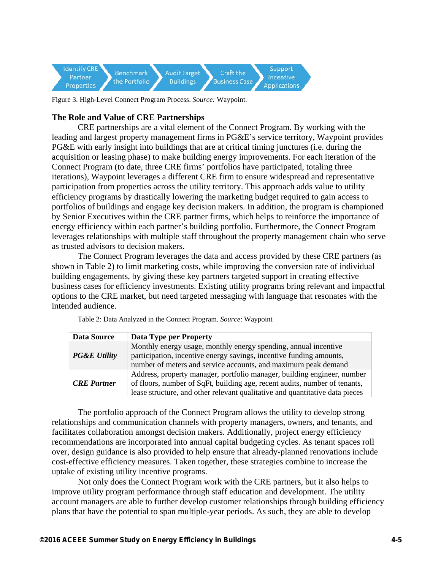

Figure 3. High-Level Connect Program Process. *Source:* Waypoint.

### **The Role and Value of CRE Partnerships**

CRE partnerships are a vital element of the Connect Program. By working with the leading and largest property management firms in PG&E's service territory, Waypoint provides PG&E with early insight into buildings that are at critical timing junctures (i.e. during the acquisition or leasing phase) to make building energy improvements. For each iteration of the Connect Program (to date, three CRE firms' portfolios have participated, totaling three iterations), Waypoint leverages a different CRE firm to ensure widespread and representative participation from properties across the utility territory. This approach adds value to utility efficiency programs by drastically lowering the marketing budget required to gain access to portfolios of buildings and engage key decision makers. In addition, the program is championed by Senior Executives within the CRE partner firms, which helps to reinforce the importance of energy efficiency within each partner's building portfolio. Furthermore, the Connect Program leverages relationships with multiple staff throughout the property management chain who serve as trusted advisors to decision makers.

The Connect Program leverages the data and access provided by these CRE partners (as shown in Table 2) to limit marketing costs, while improving the conversion rate of individual building engagements, by giving these key partners targeted support in creating effective business cases for efficiency investments. Existing utility programs bring relevant and impactful options to the CRE market, but need targeted messaging with language that resonates with the intended audience.

| Data Source             | Data Type per Property                                                                                                                                                                                                                |  |
|-------------------------|---------------------------------------------------------------------------------------------------------------------------------------------------------------------------------------------------------------------------------------|--|
| <b>PG&amp;E Utility</b> | Monthly energy usage, monthly energy spending, annual incentive<br>participation, incentive energy savings, incentive funding amounts,<br>number of meters and service accounts, and maximum peak demand                              |  |
| <b>CRE</b> Partner      | Address, property manager, portfolio manager, building engineer, number<br>of floors, number of SqFt, building age, recent audits, number of tenants,<br>lease structure, and other relevant qualitative and quantitative data pieces |  |

Table 2: Data Analyzed in the Connect Program. *Source*: Waypoint

The portfolio approach of the Connect Program allows the utility to develop strong relationships and communication channels with property managers, owners, and tenants, and facilitates collaboration amongst decision makers. Additionally, project energy efficiency recommendations are incorporated into annual capital budgeting cycles. As tenant spaces roll over, design guidance is also provided to help ensure that already-planned renovations include cost-effective efficiency measures. Taken together, these strategies combine to increase the uptake of existing utility incentive programs.

Not only does the Connect Program work with the CRE partners, but it also helps to improve utility program performance through staff education and development. The utility account managers are able to further develop customer relationships through building efficiency plans that have the potential to span multiple-year periods. As such, they are able to develop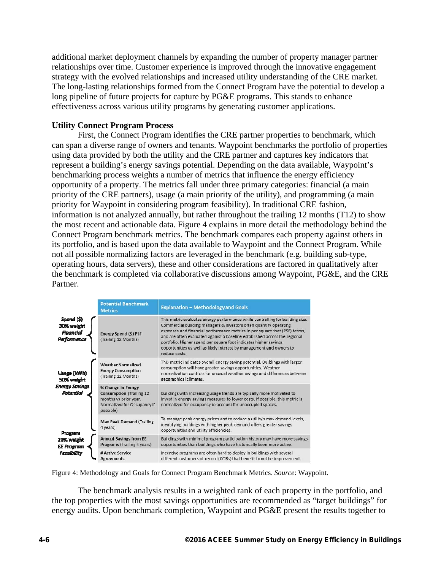additional market deployment channels by expanding the number of property manager partner relationships over time. Customer experience is improved through the innovative engagement strategy with the evolved relationships and increased utility understanding of the CRE market. The long-lasting relationships formed from the Connect Program have the potential to develop a long pipeline of future projects for capture by PG&E programs. This stands to enhance effectiveness across various utility programs by generating customer applications.

#### **Utility Connect Program Process**

First, the Connect Program identifies the CRE partner properties to benchmark, which can span a diverse range of owners and tenants. Waypoint benchmarks the portfolio of properties using data provided by both the utility and the CRE partner and captures key indicators that represent a building's energy savings potential. Depending on the data available, Waypoint's benchmarking process weights a number of metrics that influence the energy efficiency opportunity of a property. The metrics fall under three primary categories: financial (a main priority of the CRE partners), usage (a main priority of the utility), and programming (a main priority for Waypoint in considering program feasibility). In traditional CRE fashion, information is not analyzed annually, but rather throughout the trailing 12 months (T12) to show the most recent and actionable data. Figure 4 explains in more detail the methodology behind the Connect Program benchmark metrics. The benchmark compares each property against others in its portfolio, and is based upon the data available to Waypoint and the Connect Program. While not all possible normalizing factors are leveraged in the benchmark (e.g. building sub-type, operating hours, data servers), these and other considerations are factored in qualitatively after the benchmark is completed via collaborative discussions among Waypoint, PG&E, and the CRE Partner.

|                                                      | <b>Potential Benchmark</b><br><b>Metrics</b>                                                                                | <b>Explanation - Methodology and Goals</b>                                                                                                                                                                                                                                                                                                                                                                                                                                  |
|------------------------------------------------------|-----------------------------------------------------------------------------------------------------------------------------|-----------------------------------------------------------------------------------------------------------------------------------------------------------------------------------------------------------------------------------------------------------------------------------------------------------------------------------------------------------------------------------------------------------------------------------------------------------------------------|
| Spend (\$)<br>30% weight<br>Financial<br>Performance | Energy Spend (\$) PSF<br>(Trailing 12 Months)                                                                               | This metric evaluates energy performance while controlling for building size.<br>Commercial building managers & investors often quantify operating<br>expenses and financial performance metrics in per square foot (PSF) terms,<br>and are often evaluated against a baseline established across the regional<br>portfolio. Higher spend per square foot indicates higher savings<br>opportunities as well as likely interest by management and owners to<br>reduce costs. |
| Usage (kWh)<br>50% weight                            | <b>Weather Normalized</b><br><b>Energy Consumption</b><br>(Trailing 12 Months)                                              | This metric indicates overall energy saving potential. Buildings with larger<br>consumption will have greater savings opportunities. Weather<br>normalization controls for unusual weather swings and differences between<br>geographical climates.                                                                                                                                                                                                                         |
| Energy Savings<br>Potential                          | % Change in Energy<br><b>Consumption (Trailing 12)</b><br>months vs prior year.<br>Normalized for Occupancy if<br>possible) | Buildings with increasing usage trends are typically more motivated to<br>invest in energy savings measures to lower costs. If possible, this metric is<br>normalized for occupancy to account for unoccupied spaces.                                                                                                                                                                                                                                                       |
| Program                                              | <b>Max Peak Demand (Trailing</b><br>4 years)                                                                                | To manage peak energy prices and to reduce a utility's max demand levels,<br>identifying buildings with higher peak demand offers greater savings<br>opportunities and utility efficiencies.                                                                                                                                                                                                                                                                                |
| 20% weight<br>EE Program                             | <b>Annual Savings from EE</b><br>Programs (Trailing 4 years)                                                                | Buildings with minimal program participation history may have more savings<br>opportunities than buildings who have historically been more active.                                                                                                                                                                                                                                                                                                                          |
| Feasibility                                          | # Active Service<br><b>Agreements</b>                                                                                       | Incentive programs are often hard to deploy in buildings with several<br>different customers of record (CORs) that benefit from the improvement.                                                                                                                                                                                                                                                                                                                            |

Figure 4: Methodology and Goals for Connect Program Benchmark Metrics. *Source*: Waypoint.

The benchmark analysis results in a weighted rank of each property in the portfolio, and the top properties with the most savings opportunities are recommended as "target buildings" for energy audits. Upon benchmark completion, Waypoint and PG&E present the results together to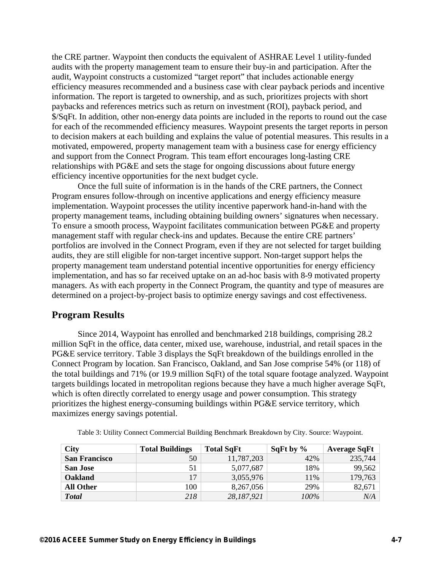the CRE partner. Waypoint then conducts the equivalent of ASHRAE Level 1 utility-funded audits with the property management team to ensure their buy-in and participation. After the audit, Waypoint constructs a customized "target report" that includes actionable energy efficiency measures recommended and a business case with clear payback periods and incentive information. The report is targeted to ownership, and as such, prioritizes projects with short paybacks and references metrics such as return on investment (ROI), payback period, and \$/SqFt. In addition, other non-energy data points are included in the reports to round out the case for each of the recommended efficiency measures. Waypoint presents the target reports in person to decision makers at each building and explains the value of potential measures. This results in a motivated, empowered, property management team with a business case for energy efficiency and support from the Connect Program. This team effort encourages long-lasting CRE relationships with PG&E and sets the stage for ongoing discussions about future energy efficiency incentive opportunities for the next budget cycle.

Once the full suite of information is in the hands of the CRE partners, the Connect Program ensures follow-through on incentive applications and energy efficiency measure implementation. Waypoint processes the utility incentive paperwork hand-in-hand with the property management teams, including obtaining building owners' signatures when necessary. To ensure a smooth process, Waypoint facilitates communication between PG&E and property management staff with regular check-ins and updates. Because the entire CRE partners' portfolios are involved in the Connect Program, even if they are not selected for target building audits, they are still eligible for non-target incentive support. Non-target support helps the property management team understand potential incentive opportunities for energy efficiency implementation, and has so far received uptake on an ad-hoc basis with 8-9 motivated property managers. As with each property in the Connect Program, the quantity and type of measures are determined on a project-by-project basis to optimize energy savings and cost effectiveness.

#### **Program Results**

Since 2014, Waypoint has enrolled and benchmarked 218 buildings, comprising 28.2 million SqFt in the office, data center, mixed use, warehouse, industrial, and retail spaces in the PG&E service territory. Table 3 displays the SqFt breakdown of the buildings enrolled in the Connect Program by location. San Francisco, Oakland, and San Jose comprise 54% (or 118) of the total buildings and 71% (or 19.9 million SqFt) of the total square footage analyzed. Waypoint targets buildings located in metropolitan regions because they have a much higher average SqFt, which is often directly correlated to energy usage and power consumption. This strategy prioritizes the highest energy-consuming buildings within PG&E service territory, which maximizes energy savings potential.

| <b>City</b>          | <b>Total Buildings</b> | <b>Total SqFt</b> | SqFt by $\%$ | <b>Average SqFt</b> |
|----------------------|------------------------|-------------------|--------------|---------------------|
| <b>San Francisco</b> | 50                     | 11,787,203        | 42%          | 235,744             |
| <b>San Jose</b>      | 51                     | 5,077,687         | 18%          | 99,562              |
| <b>Oakland</b>       | 17                     | 3,055,976         | 11%          | 179,763             |
| <b>All Other</b>     | 100                    | 8,267,056         | 29%          | 82,671              |
| <b>Total</b>         | 218                    | 28,187,921        | 100%         | N/A                 |

Table 3: Utility Connect Commercial Building Benchmark Breakdown by City. Source: Waypoint.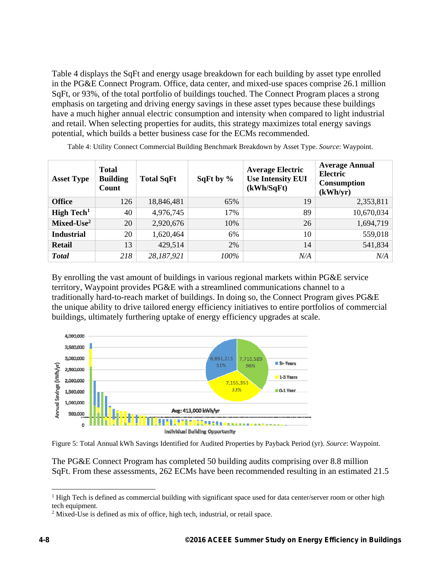Table 4 displays the SqFt and energy usage breakdown for each building by asset type enrolled in the PG&E Connect Program. Office, data center, and mixed-use spaces comprise 26.1 million SqFt, or 93%, of the total portfolio of buildings touched. The Connect Program places a strong emphasis on targeting and driving energy savings in these asset types because these buildings have a much higher annual electric consumption and intensity when compared to light industrial and retail. When selecting properties for audits, this strategy maximizes total energy savings potential, which builds a better business case for the ECMs recommended.

| <b>Asset Type</b>             | <b>Total</b><br><b>Building</b><br>Count | <b>Total SqFt</b> | SqFt by $\%$ | <b>Average Electric</b><br><b>Use Intensity EUI</b><br>(kWh/SqFt) | <b>Average Annual</b><br><b>Electric</b><br><b>Consumption</b><br>(kWh/yr) |
|-------------------------------|------------------------------------------|-------------------|--------------|-------------------------------------------------------------------|----------------------------------------------------------------------------|
| <b>Office</b>                 | 126                                      | 18,846,481        | 65%          | 19                                                                | 2,353,811                                                                  |
| <b>High Tech</b> <sup>1</sup> | 40                                       | 4,976,745         | 17%          | 89                                                                | 10,670,034                                                                 |
| $Mixed-Use2$                  | 20                                       | 2,920,676         | 10%          | 26                                                                | 1,694,719                                                                  |
| <b>Industrial</b>             | 20                                       | 1,620,464         | 6%           | 10                                                                | 559,018                                                                    |
| <b>Retail</b>                 | 13                                       | 429,514           | 2%           | 14                                                                | 541,834                                                                    |
| <b>Total</b>                  | 218                                      | 28,187,921        | 100%         | N/A                                                               | N/A                                                                        |

Table 4: Utility Connect Commercial Building Benchmark Breakdown by Asset Type. *Source*: Waypoint.

By enrolling the vast amount of buildings in various regional markets within PG&E service territory, Waypoint provides PG&E with a streamlined communications channel to a traditionally hard-to-reach market of buildings. In doing so, the Connect Program gives PG&E the unique ability to drive tailored energy efficiency initiatives to entire portfolios of commercial buildings, ultimately furthering uptake of energy efficiency upgrades at scale.



Figure 5: Total Annual kWh Savings Identified for Audited Properties by Payback Period (yr). *Source*: Waypoint.

The PG&E Connect Program has completed 50 building audits comprising over 8.8 million SqFt. From these assessments, 262 ECMs have been recommended resulting in an estimated 21.5

 $\overline{a}$ <sup>1</sup> High Tech is defined as commercial building with significant space used for data center/server room or other high tech equipment.

 $2$  Mixed-Use is defined as mix of office, high tech, industrial, or retail space.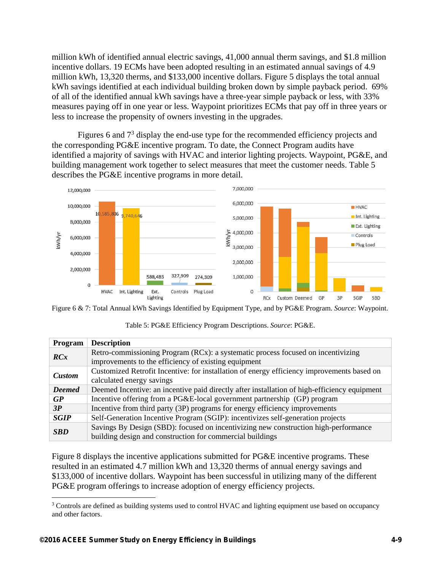million kWh of identified annual electric savings, 41,000 annual therm savings, and \$1.8 million incentive dollars. 19 ECMs have been adopted resulting in an estimated annual savings of 4.9 million kWh, 13,320 therms, and \$133,000 incentive dollars. Figure 5 displays the total annual kWh savings identified at each individual building broken down by simple payback period. 69% of all of the identified annual kWh savings have a three-year simple payback or less, with 33% measures paying off in one year or less. Waypoint prioritizes ECMs that pay off in three years or less to increase the propensity of owners investing in the upgrades.

Figures 6 and  $7<sup>3</sup>$  display the end-use type for the recommended efficiency projects and the corresponding PG&E incentive program. To date, the Connect Program audits have identified a majority of savings with HVAC and interior lighting projects. Waypoint, PG&E, and building management work together to select measures that meet the customer needs. Table 5 describes the PG&E incentive programs in more detail.





| Program       | <b>Description</b>                                                                                                                       |  |  |
|---------------|------------------------------------------------------------------------------------------------------------------------------------------|--|--|
| RCx           | Retro-commissioning Program (RCx): a systematic process focused on incentivizing<br>improvements to the efficiency of existing equipment |  |  |
|               | Customized Retrofit Incentive: for installation of energy efficiency improvements based on                                               |  |  |
| <b>Custom</b> | calculated energy savings                                                                                                                |  |  |
| <b>Deemed</b> | Deemed Incentive: an incentive paid directly after installation of high-efficiency equipment                                             |  |  |
| GP            | Incentive offering from a PG&E-local government partnership (GP) program                                                                 |  |  |
| 3P            | Incentive from third party (3P) programs for energy efficiency improvements                                                              |  |  |
| <b>SGIP</b>   | Self-Generation Incentive Program (SGIP): incentivizes self-generation projects                                                          |  |  |
| <b>SBD</b>    | Savings By Design (SBD): focused on incentivizing new construction high-performance                                                      |  |  |
|               | building design and construction for commercial buildings                                                                                |  |  |

Table 5: PG&E Efficiency Program Descriptions. *Source*: PG&E.

Figure 8 displays the incentive applications submitted for PG&E incentive programs. These resulted in an estimated 4.7 million kWh and 13,320 therms of annual energy savings and \$133,000 of incentive dollars. Waypoint has been successful in utilizing many of the different PG&E program offerings to increase adoption of energy efficiency projects.

 $\overline{a}$ 

<sup>&</sup>lt;sup>3</sup> Controls are defined as building systems used to control HVAC and lighting equipment use based on occupancy and other factors.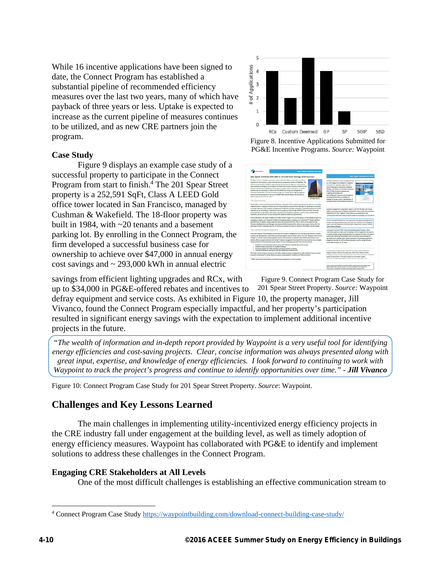While 16 incentive applications have been signed to date, the Connect Program has established a substantial pipeline of recommended efficiency measures over the last two years, many of which have payback of three years or less. Uptake is expected to increase as the current pipeline of measures continues to be utilized, and as new CRE partners join the program.

#### **Case Study**

Figure 9 displays an example case study of a successful property to participate in the Connect Program from start to finish.<sup>4</sup> The 201 Spear Street property is a 252,591 SqFt, Class A LEED Gold office tower located in San Francisco, managed by Cushman & Wakefield. The 18-floor property was built in 1984, with ~20 tenants and a basement parking lot. By enrolling in the Connect Program, the firm developed a successful business case for ownership to achieve over \$47,000 in annual energy cost savings and  $\sim$  293,000 kWh in annual electric



Figure 8. Incentive Applications Submitted for PG&E Incentive Programs. *Source:* Waypoint

| <b>MATPOINT</b>                                                                                                                                                                                                                                                                                                                                                                                                                                                                                                                                                                                                                                                                                                                    | <b>POAT CONNECT PROGRAM CASE STUDY</b>                                                                                                                                                                                                                                                                                                                                                                                                                                                                                                                                                                      |                                                                                                                                                                                                                                                                                                                                                                                                                                                                          |  |
|------------------------------------------------------------------------------------------------------------------------------------------------------------------------------------------------------------------------------------------------------------------------------------------------------------------------------------------------------------------------------------------------------------------------------------------------------------------------------------------------------------------------------------------------------------------------------------------------------------------------------------------------------------------------------------------------------------------------------------|-------------------------------------------------------------------------------------------------------------------------------------------------------------------------------------------------------------------------------------------------------------------------------------------------------------------------------------------------------------------------------------------------------------------------------------------------------------------------------------------------------------------------------------------------------------------------------------------------------------|--------------------------------------------------------------------------------------------------------------------------------------------------------------------------------------------------------------------------------------------------------------------------------------------------------------------------------------------------------------------------------------------------------------------------------------------------------------------------|--|
|                                                                                                                                                                                                                                                                                                                                                                                                                                                                                                                                                                                                                                                                                                                                    | 201 Spear Achieves \$47,000 in Annual Cost Savings with Connect                                                                                                                                                                                                                                                                                                                                                                                                                                                                                                                                             | <b>PORE CONNECT PROGRAM CASE STUDY</b>                                                                                                                                                                                                                                                                                                                                                                                                                                   |  |
| 201 Spear Street is a 252,591 square floot, Casc & LEED Gold office tower tocated just off the<br>sale front in San Francisco's South Financial District, managed by Cushman & Waterfald, The<br>13-Now property, built in 1988, has approximately 20-financial and high-tech sector tenants.<br>Program administered by Wayporn, the property management firm developed a successful<br>business case for ownership to achieve over \$47,000 annual energy cost swings and an<br>economic 261,000 kWh in annual electricity savings from energy efficient lighting opportun-<br>and retrocommissioning (ROL) with up to \$34,000 PGM/ offered returns and incentives to<br>define mailprove and senior costs."<br>The Opportunity | with a basement particle for, the enrolling in the Facilic Car, & Dectric Company (PG&D) Connect<br><b>ANI Spear Street</b>                                                                                                                                                                                                                                                                                                                                                                                                                                                                                 | indicated significant energy sevings potential<br>am diaff engaged the building for a targeted.<br>sortunates for reducing energy costs and<br>ttoric Following the acutoment, Missippett<br>Menager, 38 Weekla, to customize a business<br><b>Rure of FG&amp;E excentive programs and</b><br>to a migrating technologies and<br>tions. Wassered's business case provided an<br>ral energy performance, an analysis of<br>techniky of everys projects, stendification of |  |
|                                                                                                                                                                                                                                                                                                                                                                                                                                                                                                                                                                                                                                                                                                                                    | Storts after current cambridge acquired 201 Security Documber 2013, property management terrority on a complicati                                                                                                                                                                                                                                                                                                                                                                                                                                                                                           | I analysis for the recommended investments.                                                                                                                                                                                                                                                                                                                                                                                                                              |  |
| incentives, but did not you? to move forward with additional efficiency improvements.                                                                                                                                                                                                                                                                                                                                                                                                                                                                                                                                                                                                                                              | engineering firm to develop a business case for energy efficiency improvements. Although 301 Spear had not received<br>an energy audit since 2010, ensuring management had difficulty providing paymenting a competitive program for further<br>searches due to the building's relationship on electric usage and relations half-TRERCY 1738 score of \$3. Ownership<br>proceeded with a multi-million deliar tolds, renovation and USD tighting upgrade in common spaces utilizing PD&T                                                                                                                    | property management's proposal to restace 2,818.524 TB builts with energy<br>widing, incorporate new USD lighting standards for future tenant improvements.<br>hong futures to LEDs. Together, these measures are projected to laws<br>costs and hept electricity experient within budget by leveraging up to \$30,000 m.                                                                                                                                                |  |
|                                                                                                                                                                                                                                                                                                                                                                                                                                                                                                                                                                                                                                                                                                                                    | Shorts afterwards, 201 Spear enrolled as the PG&E Connect Program for a second-opinion on the building's progress in<br>managing its energy costs. Waypoint's initial benchmarking analytics, drawing on its Commercial ** software platform,<br>identified that 301 Spear's energy usage and spend had increased 25% from 3013 to 3014, and exceeded the San<br>Prancisca Building Damers and Managers Association (BOMA) benchmark for utility cost per square foot by LPA. This<br>alarming increase in committy mostrom. If continued, projected 301 Speer to exceed its 3004 utility excense budget.   | and that is provided by Missionit it is with useful teacher identifying arrange afficiences.<br>for automotive will work in the print hang this probability and the probability of<br>stands of authorities are progress (Todaya will stand or trousant the true staying<br>Ligans Property Monday                                                                                                                                                                       |  |
| The Connect Program Approach                                                                                                                                                                                                                                                                                                                                                                                                                                                                                                                                                                                                                                                                                                       |                                                                                                                                                                                                                                                                                                                                                                                                                                                                                                                                                                                                             | 1 program to word in POST's follocommissioning (ROCProgram, which                                                                                                                                                                                                                                                                                                                                                                                                        |  |
|                                                                                                                                                                                                                                                                                                                                                                                                                                                                                                                                                                                                                                                                                                                                    | PG&E and Waypoort have developed partnerships with property management force to bring energy efficiency analysis,<br>Sustinition case development, and incentive processing support sensors to their clients at no cost. The goal of the Connect<br>Program is to better channel utility program recources and monitors to empower key market trusted advisors and<br>stendily efficiency opportunities on their behalf. Property management firms benefit from anarcoral and more distinger.<br>energy efficiency sendors provided by the utilities for free to building ownership. These sendors include: | rate utility experts to make sure the building-and the explainent and options<br>or optional energy savings. Resulting projects are expected to reduce 201 Spear's<br>such, while improving the building's work environment and instanding the<br>ing counserving to undergo large copital investments. By entolling properties in<br>photoshy consists we advice a craft on a flocking to affect our statements of<br>using PG&E incorresum at 2011 Spear.              |  |
| . Detailed energy ananoments for queilled buildings<br>. Processing support for utility incentives jourspell by permers or tehants.<br>. Chycong tracking and reporting at lasth the building and portfolio levels.                                                                                                                                                                                                                                                                                                                                                                                                                                                                                                                | Purificals level benchmarking using Constantial® analytics to obtatily high arounds targets                                                                                                                                                                                                                                                                                                                                                                                                                                                                                                                 | a joint posturior concerned for this commercial road activity tracture. Will positive a                                                                                                                                                                                                                                                                                                                                                                                  |  |
|                                                                                                                                                                                                                                                                                                                                                                                                                                                                                                                                                                                                                                                                                                                                    | The Midd Connect Program approach at 201 Spear enabled property management to craft an effective and successful<br>proposal to awtership for onergy efficiency projects using Wespoint's analytics and PG&E incentives.                                                                                                                                                                                                                                                                                                                                                                                     | stapites property. Reasonal and energy data, which detuse students into the<br>buildings and imprinted the productivity of our classic approximate lages. Wassered<br>andreg of the dunamics of the utility industry to drive better oughts.                                                                                                                                                                                                                             |  |
| Officer researchment and verification of autonomed project explications is comently penaling.                                                                                                                                                                                                                                                                                                                                                                                                                                                                                                                                                                                                                                      |                                                                                                                                                                                                                                                                                                                                                                                                                                                                                                                                                                                                             | Contact for its plots claric CRE customers. For more information, stall                                                                                                                                                                                                                                                                                                                                                                                                  |  |
|                                                                                                                                                                                                                                                                                                                                                                                                                                                                                                                                                                                                                                                                                                                                    |                                                                                                                                                                                                                                                                                                                                                                                                                                                                                                                                                                                                             |                                                                                                                                                                                                                                                                                                                                                                                                                                                                          |  |

savings from efficient lighting upgrades and RCx, with

201 Spear Street Property. *Source:* Waypoint up to \$34,000 in PG&E-offered rebates and incentives to defray equipment and service costs. As exhibited in Figure 10, the property manager, Jill Vivanco, found the Connect Program especially impactful, and her property's participation resulted in significant energy savings with the expectation to implement additional incentive projects in the future.

*"The wealth of information and in-depth report provided by Waypoint is a very useful tool for identifying energy efficiencies and cost-saving projects. Clear, concise information was always presented along with great input, expertise, and knowledge of energy efficiencies. I look forward to continuing to work with Waypoint to track the project's progress and continue to identify opportunities over time." - Jill Vivanco* 

Figure 10: Connect Program Case Study for 201 Spear Street Property. *Source*: Waypoint.

## **Challenges and Key Lessons Learned**

The main challenges in implementing utility-incentivized energy efficiency projects in the CRE industry fall under engagement at the building level, as well as timely adoption of energy efficiency measures. Waypoint has collaborated with PG&E to identify and implement solutions to address these challenges in the Connect Program.

### **Engaging CRE Stakeholders at All Levels**

One of the most difficult challenges is establishing an effective communication stream to

Figure 9. Connect Program Case Study for

 $\overline{a}$ 

<sup>&</sup>lt;sup>4</sup> Connect Program Case Study https://waypointbuilding.com/download-connect-building-case-study/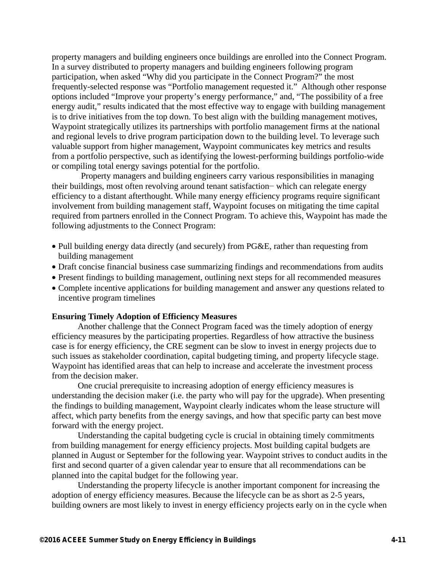property managers and building engineers once buildings are enrolled into the Connect Program. In a survey distributed to property managers and building engineers following program participation, when asked "Why did you participate in the Connect Program?" the most frequently-selected response was "Portfolio management requested it." Although other response options included "Improve your property's energy performance," and, "The possibility of a free energy audit," results indicated that the most effective way to engage with building management is to drive initiatives from the top down. To best align with the building management motives, Waypoint strategically utilizes its partnerships with portfolio management firms at the national and regional levels to drive program participation down to the building level. To leverage such valuable support from higher management, Waypoint communicates key metrics and results from a portfolio perspective, such as identifying the lowest-performing buildings portfolio-wide or compiling total energy savings potential for the portfolio.

Property managers and building engineers carry various responsibilities in managing their buildings, most often revolving around tenant satisfaction− which can relegate energy efficiency to a distant afterthought. While many energy efficiency programs require significant involvement from building management staff, Waypoint focuses on mitigating the time capital required from partners enrolled in the Connect Program. To achieve this, Waypoint has made the following adjustments to the Connect Program:

- Pull building energy data directly (and securely) from PG&E, rather than requesting from building management
- Draft concise financial business case summarizing findings and recommendations from audits
- Present findings to building management, outlining next steps for all recommended measures
- Complete incentive applications for building management and answer any questions related to incentive program timelines

#### **Ensuring Timely Adoption of Efficiency Measures**

Another challenge that the Connect Program faced was the timely adoption of energy efficiency measures by the participating properties. Regardless of how attractive the business case is for energy efficiency, the CRE segment can be slow to invest in energy projects due to such issues as stakeholder coordination, capital budgeting timing, and property lifecycle stage. Waypoint has identified areas that can help to increase and accelerate the investment process from the decision maker.

One crucial prerequisite to increasing adoption of energy efficiency measures is understanding the decision maker (i.e. the party who will pay for the upgrade). When presenting the findings to building management, Waypoint clearly indicates whom the lease structure will affect, which party benefits from the energy savings, and how that specific party can best move forward with the energy project.

Understanding the capital budgeting cycle is crucial in obtaining timely commitments from building management for energy efficiency projects. Most building capital budgets are planned in August or September for the following year. Waypoint strives to conduct audits in the first and second quarter of a given calendar year to ensure that all recommendations can be planned into the capital budget for the following year.

Understanding the property lifecycle is another important component for increasing the adoption of energy efficiency measures. Because the lifecycle can be as short as 2-5 years, building owners are most likely to invest in energy efficiency projects early on in the cycle when